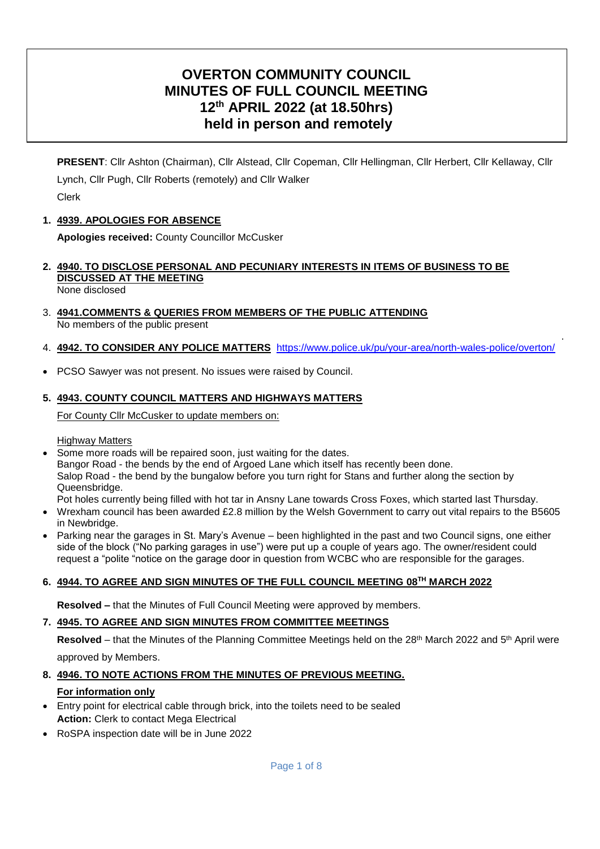# **OVERTON COMMUNITY COUNCIL MINUTES OF FULL COUNCIL MEETING 12th APRIL 2022 (at 18.50hrs) held in person and remotely**

**PRESENT**: Cllr Ashton (Chairman), Cllr Alstead, Cllr Copeman, Cllr Hellingman, Cllr Herbert, Cllr Kellaway, Cllr Lynch, Cllr Pugh, Cllr Roberts (remotely) and Cllr Walker Clerk

### **1. 4939. APOLOGIES FOR ABSENCE**

**Apologies received:** County Councillor McCusker

**2. 4940. TO DISCLOSE PERSONAL AND PECUNIARY INTERESTS IN ITEMS OF BUSINESS TO BE DISCUSSED AT THE MEETING**

None disclosed

- 3. **4941.COMMENTS & QUERIES FROM MEMBERS OF THE PUBLIC ATTENDING**  No members of the public present
- 4. **4942. TO CONSIDER ANY POLICE MATTERS** <https://www.police.uk/pu/your-area/north-wales-police/overton/>

.

PCSO Sawyer was not present. No issues were raised by Council.

#### **5. 4943. COUNTY COUNCIL MATTERS AND HIGHWAYS MATTERS**

For County Cllr McCusker to update members on:

Highway Matters

- Some more roads will be repaired soon, just waiting for the dates. Bangor Road - the bends by the end of Argoed Lane which itself has recently been done. Salop Road - the bend by the bungalow before you turn right for Stans and further along the section by Queensbridge.
	- Pot holes currently being filled with hot tar in Ansny Lane towards Cross Foxes, which started last Thursday.
- Wrexham council has been awarded £2.8 million by the Welsh Government to carry out vital repairs to the B5605 in Newbridge.
- Parking near the garages in St. Mary's Avenue been highlighted in the past and two Council signs, one either side of the block ("No parking garages in use") were put up a couple of years ago. The owner/resident could request a "polite "notice on the garage door in question from WCBC who are responsible for the garages.

#### **6. 4944. TO AGREE AND SIGN MINUTES OF THE FULL COUNCIL MEETING 08TH MARCH 2022**

**Resolved –** that the Minutes of Full Council Meeting were approved by members.

# **7. 4945. TO AGREE AND SIGN MINUTES FROM COMMITTEE MEETINGS**

**Resolved** – that the Minutes of the Planning Committee Meetings held on the 28<sup>th</sup> March 2022 and 5<sup>th</sup> April were approved by Members.

# **8. 4946. TO NOTE ACTIONS FROM THE MINUTES OF PREVIOUS MEETING.**

# **For information only**

- Entry point for electrical cable through brick, into the toilets need to be sealed **Action:** Clerk to contact Mega Electrical
- RoSPA inspection date will be in June 2022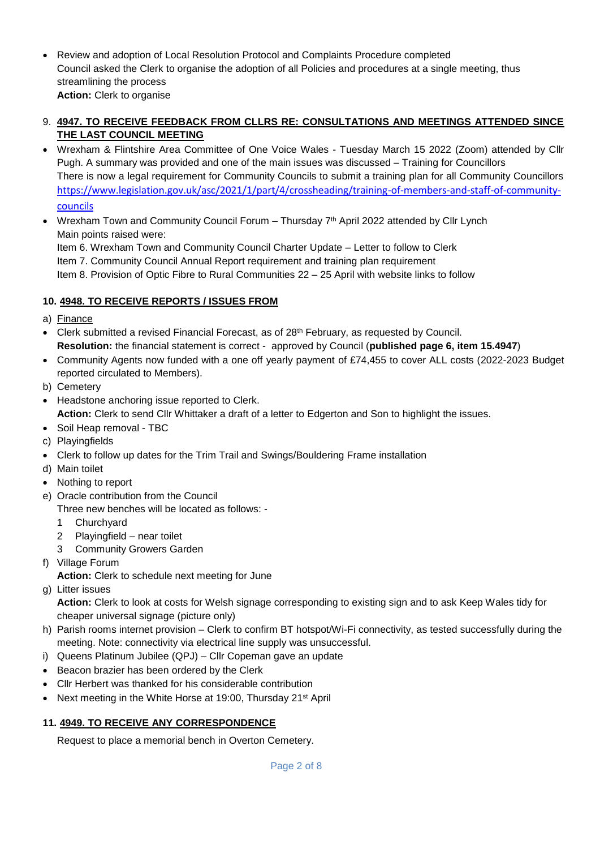- Review and adoption of Local Resolution Protocol and Complaints Procedure completed Council asked the Clerk to organise the adoption of all Policies and procedures at a single meeting, thus streamlining the process **Action:** Clerk to organise
- 9. **4947. TO RECEIVE FEEDBACK FROM CLLRS RE: CONSULTATIONS AND MEETINGS ATTENDED SINCE THE LAST COUNCIL MEETING**
- Wrexham & Flintshire Area Committee of One Voice Wales Tuesday March 15 2022 (Zoom) attended by Cllr Pugh. A summary was provided and one of the main issues was discussed – Training for Councillors There is now a legal requirement for Community Councils to submit a training plan for all Community Councillors [https://www.legislation.gov.uk/asc/2021/1/part/4/crossheading/training-of-members-and-staff-of-community](https://www.legislation.gov.uk/asc/2021/1/part/4/crossheading/training-of-members-and-staff-of-community-councils)[councils](https://www.legislation.gov.uk/asc/2021/1/part/4/crossheading/training-of-members-and-staff-of-community-councils)
- Wrexham Town and Community Council Forum  $-$  Thursday  $7<sup>th</sup>$  April 2022 attended by Cllr Lynch Main points raised were:

Item 6. Wrexham Town and Community Council Charter Update – Letter to follow to Clerk Item 7. Community Council Annual Report requirement and training plan requirement Item 8. Provision of Optic Fibre to Rural Communities 22 – 25 April with website links to follow

# **10. 4948. TO RECEIVE REPORTS / ISSUES FROM**

- a) Finance
- Clerk submitted a revised Financial Forecast, as of 28<sup>th</sup> February, as requested by Council. **Resolution:** the financial statement is correct - approved by Council (**published page 6, item 15.4947**)
- Community Agents now funded with a one off yearly payment of £74,455 to cover ALL costs (2022-2023 Budget reported circulated to Members).
- b) Cemetery
- Headstone anchoring issue reported to Clerk. **Action:** Clerk to send Cllr Whittaker a draft of a letter to Edgerton and Son to highlight the issues.
- Soil Heap removal TBC
- c) Playingfields
- Clerk to follow up dates for the Trim Trail and Swings/Bouldering Frame installation
- d) Main toilet
- Nothing to report
- e) Oracle contribution from the Council
	- Three new benches will be located as follows:
		- 1 Churchyard
		- 2 Playingfield near toilet
		- 3 Community Growers Garden
- f) Village Forum
	- **Action:** Clerk to schedule next meeting for June
- g) Litter issues

**Action:** Clerk to look at costs for Welsh signage corresponding to existing sign and to ask Keep Wales tidy for cheaper universal signage (picture only)

- h) Parish rooms internet provision Clerk to confirm BT hotspot/Wi-Fi connectivity, as tested successfully during the meeting. Note: connectivity via electrical line supply was unsuccessful.
- i) Queens Platinum Jubilee (QPJ) Cllr Copeman gave an update
- Beacon brazier has been ordered by the Clerk
- Cllr Herbert was thanked for his considerable contribution
- Next meeting in the White Horse at 19:00, Thursday 21<sup>st</sup> April

#### **11. 4949. TO RECEIVE ANY CORRESPONDENCE**

Request to place a memorial bench in Overton Cemetery.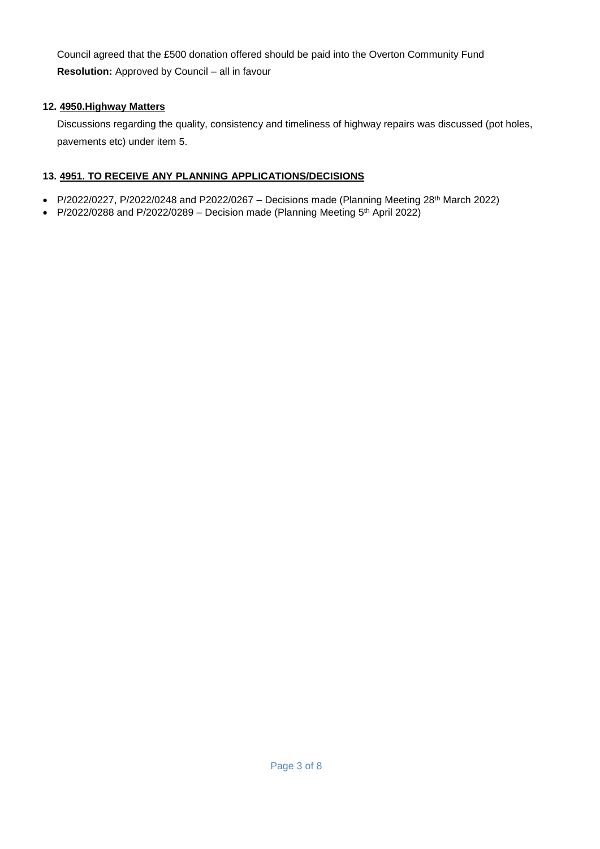Council agreed that the £500 donation offered should be paid into the Overton Community Fund **Resolution:** Approved by Council – all in favour

# **12. 4950.Highway Matters**

Discussions regarding the quality, consistency and timeliness of highway repairs was discussed (pot holes, pavements etc) under item 5.

# **13. 4951. TO RECEIVE ANY PLANNING APPLICATIONS/DECISIONS**

- P/2022/0227, P/2022/0248 and P2022/0267 Decisions made (Planning Meeting 28<sup>th</sup> March 2022)
- P/2022/0288 and P/2022/0289 Decision made (Planning Meeting  $5<sup>th</sup>$  April 2022)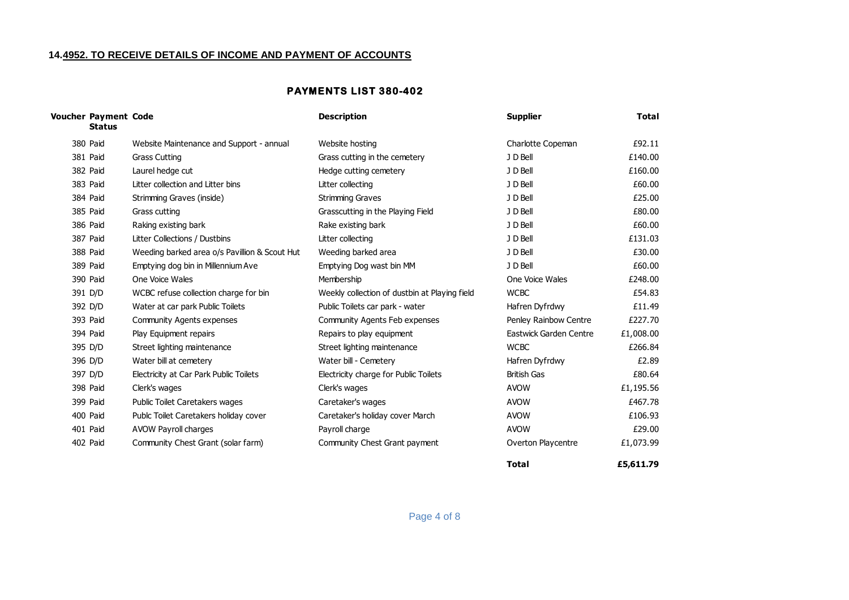#### **14.4952. TO RECEIVE DETAILS OF INCOME AND PAYMENT OF ACCOUNTS**

#### **PAYMENTS LIST 380-402**

| Voucher Payment Code<br><b>Status</b> |                                               | <b>Description</b>                            | <b>Supplier</b>        | <b>Total</b> |
|---------------------------------------|-----------------------------------------------|-----------------------------------------------|------------------------|--------------|
| 380 Paid                              | Website Maintenance and Support - annual      | Website hosting                               | Charlotte Copeman      | £92.11       |
| 381 Paid                              | <b>Grass Cutting</b>                          | Grass cutting in the cemetery                 | J D Bell               | £140.00      |
| 382 Paid                              | Laurel hedge cut                              | Hedge cutting cemetery                        | J D Bell               | £160.00      |
| 383 Paid                              | Litter collection and Litter bins             | Litter collecting                             | J D Bell               | £60.00       |
| 384 Paid                              | Strimming Graves (inside)                     | <b>Strimming Graves</b>                       | J D Bell               | £25.00       |
| 385 Paid                              | Grass cutting                                 | Grasscutting in the Playing Field             | J D Bell               | £80.00       |
| 386 Paid                              | Raking existing bark                          | Rake existing bark                            | J D Bell               | £60.00       |
| 387 Paid                              | Litter Collections / Dustbins                 | Litter collecting                             | J D Bell               | £131.03      |
| 388 Paid                              | Weeding barked area o/s Pavillion & Scout Hut | Weeding barked area                           | J D Bell               | £30.00       |
| 389 Paid                              | Emptying dog bin in Millennium Ave            | Emptying Dog wast bin MM                      | J D Bell               | £60.00       |
| 390 Paid                              | One Voice Wales                               | Membership                                    | One Voice Wales        | £248.00      |
| 391 D/D                               | WCBC refuse collection charge for bin         | Weekly collection of dustbin at Playing field | <b>WCBC</b>            | £54.83       |
| 392 D/D                               | Water at car park Public Toilets              | Public Toilets car park - water               | Hafren Dyfrdwy         | £11.49       |
| 393 Paid                              | Community Agents expenses                     | Community Agents Feb expenses                 | Penley Rainbow Centre  | £227.70      |
| 394 Paid                              | Play Equipment repairs                        | Repairs to play equipment                     | Eastwick Garden Centre | £1,008.00    |
| 395 D/D                               | Street lighting maintenance                   | Street lighting maintenance                   | <b>WCBC</b>            | £266.84      |
| 396 D/D                               | Water bill at cemetery                        | Water bill - Cemetery                         | Hafren Dyfrdwy         | £2.89        |
| 397 D/D                               | Electricity at Car Park Public Toilets        | Electricity charge for Public Toilets         | <b>British Gas</b>     | £80.64       |
| 398 Paid                              | Clerk's wages                                 | Clerk's wages                                 | <b>AVOW</b>            | £1,195.56    |
| 399 Paid                              | <b>Public Toilet Caretakers wages</b>         | Caretaker's wages                             | <b>AVOW</b>            | £467.78      |
| 400 Paid                              | Publc Toilet Caretakers holiday cover         | Caretaker's holiday cover March               | <b>AVOW</b>            | £106.93      |
| 401 Paid                              | AVOW Payroll charges                          | Payroll charge                                | <b>AVOW</b>            | £29.00       |
| 402 Paid                              | Community Chest Grant (solar farm)            | Community Chest Grant payment                 | Overton Playcentre     | £1,073.99    |

**Total**

**£5,611.79**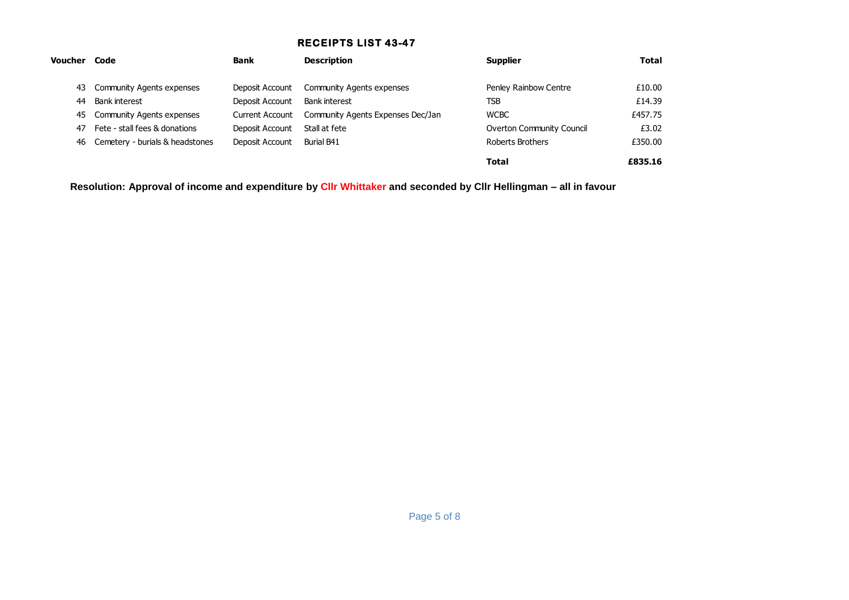### **RECEIPTS LIST 43-47**

| Voucher | Code                               | <b>Bank</b>     | <b>Description</b>                | <b>Supplier</b>           | <b>Total</b> |
|---------|------------------------------------|-----------------|-----------------------------------|---------------------------|--------------|
|         | 43 Community Agents expenses       | Deposit Account | <b>Community Agents expenses</b>  | Penley Rainbow Centre     | £10.00       |
| 44      | Bank interest                      | Deposit Account | <b>Bank interest</b>              | TSB                       | £14.39       |
|         | 45 Community Agents expenses       | Current Account | Community Agents Expenses Dec/Jan | <b>WCBC</b>               | £457.75      |
| 47      | Fete - stall fees & donations      | Deposit Account | Stall at fete                     | Overton Community Council | £3.02        |
|         | 46 Cemetery - burials & headstones | Deposit Account | Burial B41                        | Roberts Brothers          | £350.00      |
|         |                                    |                 |                                   | <b>Total</b>              | £835.16      |

**Resolution: Approval of income and expenditure by Cllr Whittaker and seconded by Cllr Hellingman – all in favour**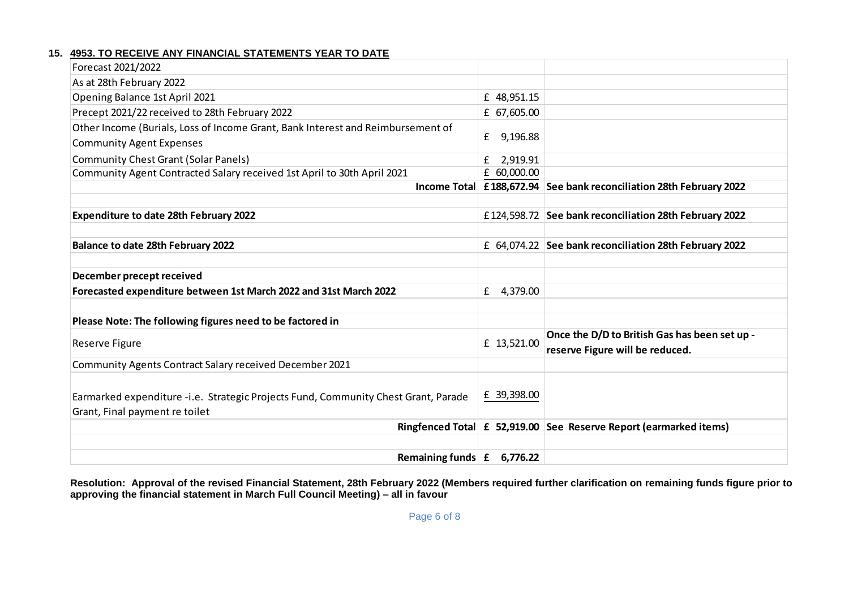#### **15. 4953. TO RECEIVE ANY FINANCIAL STATEMENTS YEAR TO DATE**

| Forecast 2021/2022                                                                 |               |                                                                     |
|------------------------------------------------------------------------------------|---------------|---------------------------------------------------------------------|
| As at 28th February 2022                                                           |               |                                                                     |
| Opening Balance 1st April 2021                                                     | £ 48,951.15   |                                                                     |
| Precept 2021/22 received to 28th February 2022                                     | £ 67,605.00   |                                                                     |
| Other Income (Burials, Loss of Income Grant, Bank Interest and Reimbursement of    |               |                                                                     |
| <b>Community Agent Expenses</b>                                                    | £<br>9,196.88 |                                                                     |
| <b>Community Chest Grant (Solar Panels)</b>                                        | 2,919.91<br>£ |                                                                     |
| Community Agent Contracted Salary received 1st April to 30th April 2021            | £ 60,000.00   |                                                                     |
|                                                                                    |               | Income Total £188,672.94 See bank reconciliation 28th February 2022 |
|                                                                                    |               |                                                                     |
| <b>Expenditure to date 28th February 2022</b>                                      |               | £124,598.72 See bank reconciliation 28th February 2022              |
|                                                                                    |               |                                                                     |
| <b>Balance to date 28th February 2022</b>                                          |               | £ 64,074.22 See bank reconciliation 28th February 2022              |
|                                                                                    |               |                                                                     |
| December precept received                                                          |               |                                                                     |
| Forecasted expenditure between 1st March 2022 and 31st March 2022                  | 4,379.00<br>£ |                                                                     |
|                                                                                    |               |                                                                     |
| Please Note: The following figures need to be factored in                          |               |                                                                     |
|                                                                                    | £ 13,521.00   | Once the D/D to British Gas has been set up -                       |
| Reserve Figure                                                                     |               | reserve Figure will be reduced.                                     |
| Community Agents Contract Salary received December 2021                            |               |                                                                     |
|                                                                                    |               |                                                                     |
| Earmarked expenditure -i.e. Strategic Projects Fund, Community Chest Grant, Parade | £ 39,398.00   |                                                                     |
| Grant, Final payment re toilet                                                     |               |                                                                     |
|                                                                                    |               | Ringfenced Total £ 52,919.00 See Reserve Report (earmarked items)   |
|                                                                                    |               |                                                                     |
| Remaining funds $\mathbf{f}$                                                       | 6,776.22      |                                                                     |

**Resolution: Approval of the revised Financial Statement, 28th February 2022 (Members required further clarification on remaining funds figure prior to approving the financial statement in March Full Council Meeting) – all in favour**

Page 6 of 8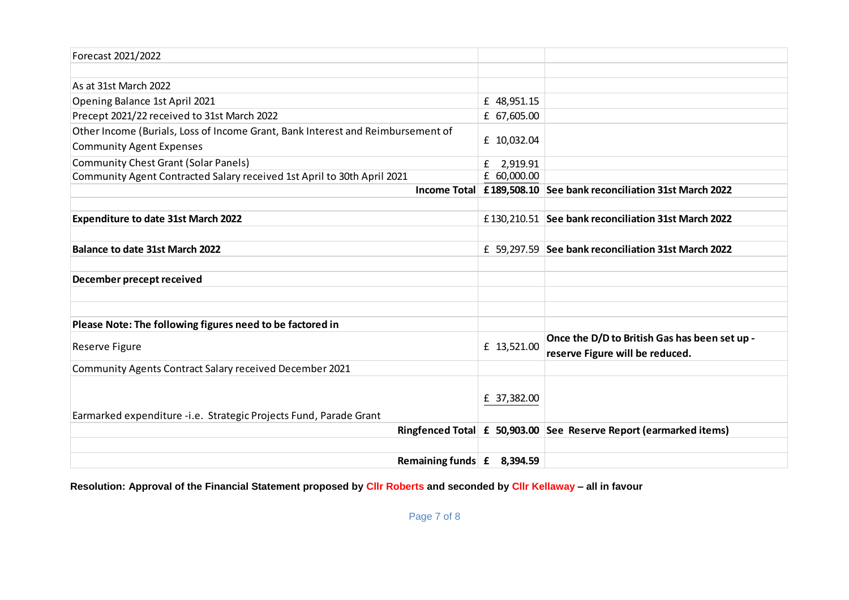| Forecast 2021/2022                                                              |               |                                                                   |
|---------------------------------------------------------------------------------|---------------|-------------------------------------------------------------------|
|                                                                                 |               |                                                                   |
| As at 31st March 2022                                                           |               |                                                                   |
| Opening Balance 1st April 2021                                                  | £ 48,951.15   |                                                                   |
| Precept 2021/22 received to 31st March 2022                                     | £ 67,605.00   |                                                                   |
| Other Income (Burials, Loss of Income Grant, Bank Interest and Reimbursement of |               |                                                                   |
| <b>Community Agent Expenses</b>                                                 | £ 10,032.04   |                                                                   |
| <b>Community Chest Grant (Solar Panels)</b>                                     | £<br>2,919.91 |                                                                   |
| Community Agent Contracted Salary received 1st April to 30th April 2021         | £ 60,000.00   |                                                                   |
|                                                                                 |               | Income Total £189,508.10 See bank reconciliation 31st March 2022  |
|                                                                                 |               |                                                                   |
| <b>Expenditure to date 31st March 2022</b>                                      |               | £130,210.51 See bank reconciliation 31st March 2022               |
|                                                                                 |               |                                                                   |
| <b>Balance to date 31st March 2022</b>                                          |               | £ 59,297.59 See bank reconciliation 31st March 2022               |
|                                                                                 |               |                                                                   |
| December precept received                                                       |               |                                                                   |
|                                                                                 |               |                                                                   |
|                                                                                 |               |                                                                   |
| Please Note: The following figures need to be factored in                       |               |                                                                   |
| Reserve Figure                                                                  | £ 13,521.00   | Once the D/D to British Gas has been set up -                     |
|                                                                                 |               | reserve Figure will be reduced.                                   |
| Community Agents Contract Salary received December 2021                         |               |                                                                   |
|                                                                                 |               |                                                                   |
|                                                                                 | £ 37,382.00   |                                                                   |
| Earmarked expenditure -i.e. Strategic Projects Fund, Parade Grant               |               |                                                                   |
|                                                                                 |               | Ringfenced Total £ 50,903.00 See Reserve Report (earmarked items) |
|                                                                                 |               |                                                                   |
| Remaining funds $\mathbf{f}$ 8,394.59                                           |               |                                                                   |

**Resolution: Approval of the Financial Statement proposed by Cllr Roberts and seconded by Cllr Kellaway – all in favour**